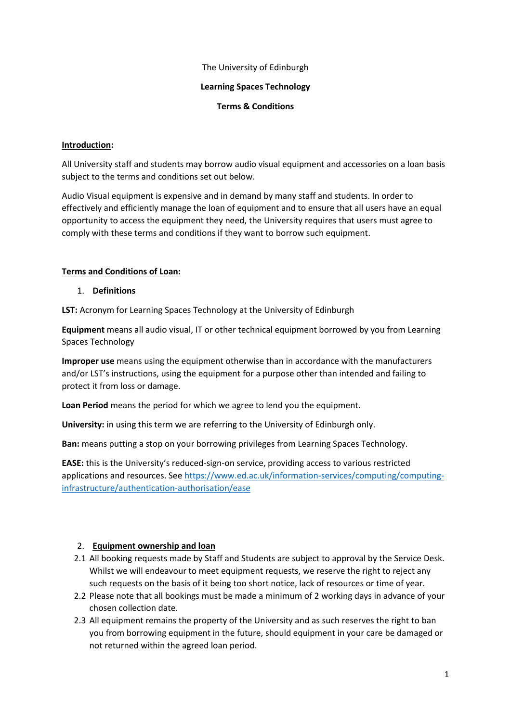### The University of Edinburgh

### **Learning Spaces Technology**

#### **Terms & Conditions**

### **Introduction:**

All University staff and students may borrow audio visual equipment and accessories on a loan basis subject to the terms and conditions set out below.

Audio Visual equipment is expensive and in demand by many staff and students. In order to effectively and efficiently manage the loan of equipment and to ensure that all users have an equal opportunity to access the equipment they need, the University requires that users must agree to comply with these terms and conditions if they want to borrow such equipment.

### **Terms and Conditions of Loan:**

#### 1. **Definitions**

**LST:** Acronym for Learning Spaces Technology at the University of Edinburgh

**Equipment** means all audio visual, IT or other technical equipment borrowed by you from Learning Spaces Technology

**Improper use** means using the equipment otherwise than in accordance with the manufacturers and/or LST's instructions, using the equipment for a purpose other than intended and failing to protect it from loss or damage.

**Loan Period** means the period for which we agree to lend you the equipment.

**University:** in using this term we are referring to the University of Edinburgh only.

**Ban:** means putting a stop on your borrowing privileges from Learning Spaces Technology.

**EASE:** this is the University's reduced-sign-on service, providing access to various restricted applications and resources. See [https://www.ed.ac.uk/information-services/computing/computing](https://www.ed.ac.uk/information-services/computing/computing-infrastructure/authentication-authorisation/ease)[infrastructure/authentication-authorisation/ease](https://www.ed.ac.uk/information-services/computing/computing-infrastructure/authentication-authorisation/ease)

### 2. **Equipment ownership and loan**

- 2.1 All booking requests made by Staff and Students are subject to approval by the Service Desk. Whilst we will endeavour to meet equipment requests, we reserve the right to reject any such requests on the basis of it being too short notice, lack of resources or time of year.
- 2.2 Please note that all bookings must be made a minimum of 2 working days in advance of your chosen collection date.
- 2.3 All equipment remains the property of the University and as such reserves the right to ban you from borrowing equipment in the future, should equipment in your care be damaged or not returned within the agreed loan period.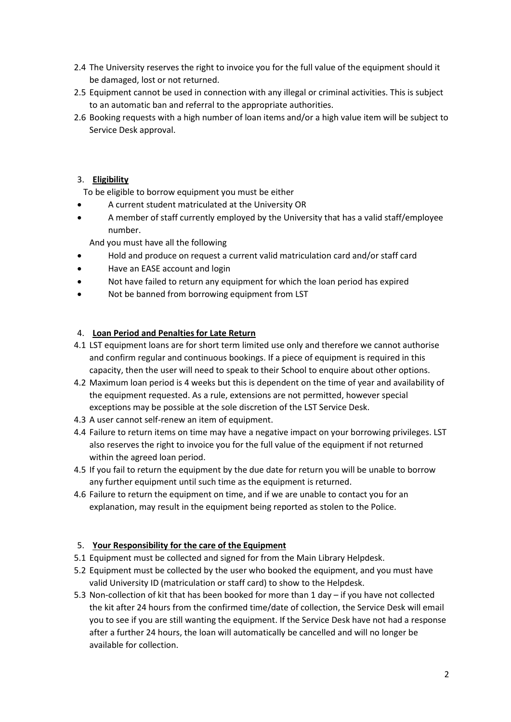- 2.4 The University reserves the right to invoice you for the full value of the equipment should it be damaged, lost or not returned.
- 2.5 Equipment cannot be used in connection with any illegal or criminal activities. This is subject to an automatic ban and referral to the appropriate authorities.
- 2.6 Booking requests with a high number of loan items and/or a high value item will be subject to Service Desk approval.

# 3. **Eligibility**

To be eligible to borrow equipment you must be either

- A current student matriculated at the University OR
- A member of staff currently employed by the University that has a valid staff/employee number.

And you must have all the following

- Hold and produce on request a current valid matriculation card and/or staff card
- Have an EASE account and login
- Not have failed to return any equipment for which the loan period has expired
- Not be banned from borrowing equipment from LST

## 4. **Loan Period and Penalties for Late Return**

- 4.1 LST equipment loans are for short term limited use only and therefore we cannot authorise and confirm regular and continuous bookings. If a piece of equipment is required in this capacity, then the user will need to speak to their School to enquire about other options.
- 4.2 Maximum loan period is 4 weeks but this is dependent on the time of year and availability of the equipment requested. As a rule, extensions are not permitted, however special exceptions may be possible at the sole discretion of the LST Service Desk.
- 4.3 A user cannot self-renew an item of equipment.
- 4.4 Failure to return items on time may have a negative impact on your borrowing privileges. LST also reserves the right to invoice you for the full value of the equipment if not returned within the agreed loan period.
- 4.5 If you fail to return the equipment by the due date for return you will be unable to borrow any further equipment until such time as the equipment is returned.
- 4.6 Failure to return the equipment on time, and if we are unable to contact you for an explanation, may result in the equipment being reported as stolen to the Police.

## 5. **Your Responsibility for the care of the Equipment**

- 5.1 Equipment must be collected and signed for from the Main Library Helpdesk.
- 5.2 Equipment must be collected by the user who booked the equipment, and you must have valid University ID (matriculation or staff card) to show to the Helpdesk.
- 5.3 Non-collection of kit that has been booked for more than 1 day if you have not collected the kit after 24 hours from the confirmed time/date of collection, the Service Desk will email you to see if you are still wanting the equipment. If the Service Desk have not had a response after a further 24 hours, the loan will automatically be cancelled and will no longer be available for collection.